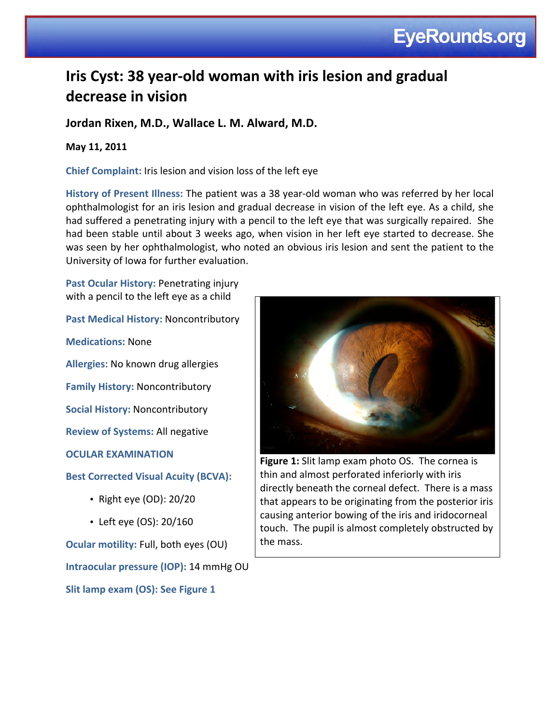# **Iris Cyst: 38 year-old woman with iris lesion and gradual** decrease in vision

# Jordan Rixen, M.D., Wallace L. M. Alward, M.D.

## **May%11,%2011**

**Chief Complaint:** Iris lesion and vision loss of the left eye

History of Present Illness: The patient was a 38 year-old woman who was referred by her local ophthalmologist for an iris lesion and gradual decrease in vision of the left eye. As a child, she had suffered a penetrating injury with a pencil to the left eye that was surgically repaired. She had been stable until about 3 weeks ago, when vision in her left eye started to decrease. She was seen by her ophthalmologist, who noted an obvious iris lesion and sent the patient to the University of Iowa for further evaluation.

Past Ocular History: Penetrating injury with a pencil to the left eye as a child

Past Medical History: Noncontributory

**Medications:** None

**Allergies: No known drug allergies** 

**Family History: Noncontributory** 

**Social History: Noncontributory** 

**Review of Systems: All negative** 

**OCULAR EXAMINATION** 

**Best Corrected Visual Acuity (BCVA):** 

- Right eye (OD):  $20/20$
- Left eye (OS):  $20/160$

**Ocular motility: Full, both eyes (OU) Intraocular pressure (IOP): 14 mmHg OU Slit lamp exam (OS): See Figure 1** 



**Figure 1:** Slit lamp exam photo OS. The cornea is thin and almost perforated inferiorly with iris directly beneath the corneal defect. There is a mass that appears to be originating from the posterior iris causing anterior bowing of the iris and iridocorneal touch. The pupil is almost completely obstructed by the mass.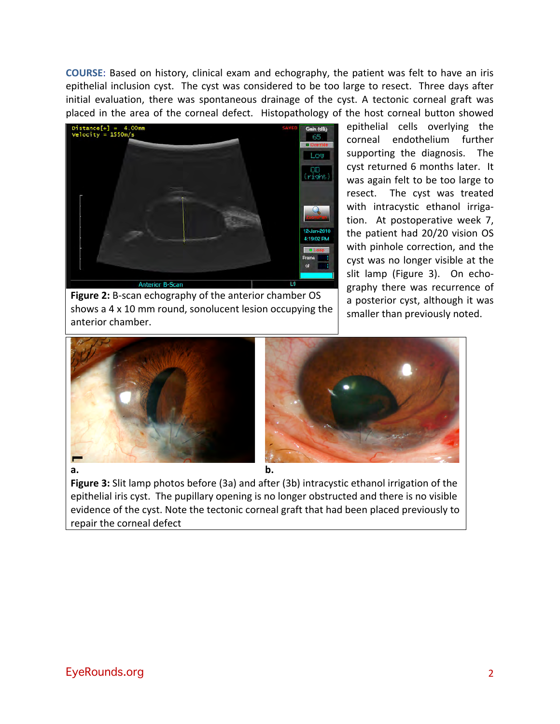**COURSE:** Based on history, clinical exam and echography, the patient was felt to have an iris epithelial inclusion cyst. The cyst was considered to be too large to resect. Three days after initial evaluation, there was spontaneous drainage of the cyst. A tectonic corneal graft was placed in the area of the corneal defect. Histopathology of the host corneal button showed



**Figure 2:** B-scan echography of the anterior chamber OS shows a 4 x 10 mm round, sonolucent lesion occupying the anterior chamber.

epithelial cells overlying the corneal endothelium further supporting the diagnosis. The cyst returned 6 months later. It was again felt to be too large to resect. The cyst was treated with intracystic ethanol irrigation. At postoperative week 7, the patient had 20/20 vision OS with pinhole correction, and the cyst was no longer visible at the slit lamp (Figure 3). On echography there was recurrence of a posterior cyst, although it was smaller than previously noted.





**Figure 3:** Slit lamp photos before (3a) and after (3b) intracystic ethanol irrigation of the epithelial iris cyst. The pupillary opening is no longer obstructed and there is no visible evidence of the cyst. Note the tectonic corneal graft that had been placed previously to repair the corneal defect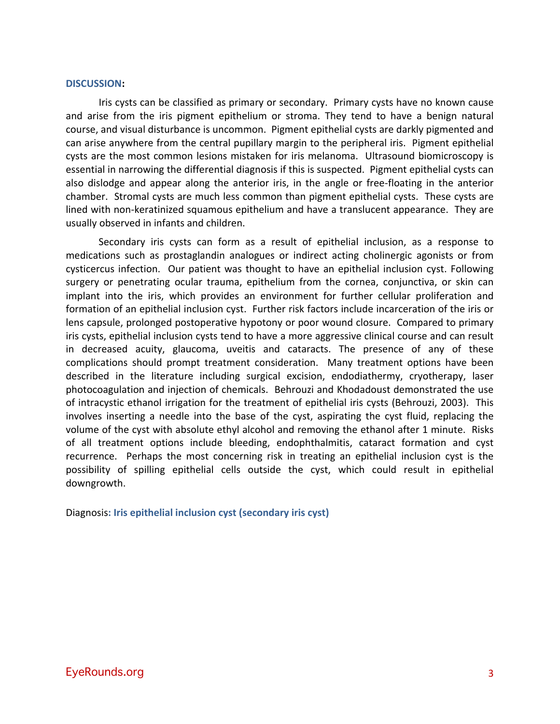#### **DISCUSSION:%**

Iris cysts can be classified as primary or secondary. Primary cysts have no known cause and arise from the iris pigment epithelium or stroma. They tend to have a benign natural course, and visual disturbance is uncommon. Pigment epithelial cysts are darkly pigmented and can arise anywhere from the central pupillary margin to the peripheral iris. Pigment epithelial cysts are the most common lesions mistaken for iris melanoma. Ultrasound biomicroscopy is essential in narrowing the differential diagnosis if this is suspected. Pigment epithelial cysts can also dislodge and appear along the anterior iris, in the angle or free-floating in the anterior chamber. Stromal cysts are much less common than pigment epithelial cysts. These cysts are lined with non-keratinized squamous epithelium and have a translucent appearance. They are usually observed in infants and children.

Secondary iris cysts can form as a result of epithelial inclusion, as a response to medications such as prostaglandin analogues or indirect acting cholinergic agonists or from cysticercus infection. Our patient was thought to have an epithelial inclusion cyst. Following surgery or penetrating ocular trauma, epithelium from the cornea, conjunctiva, or skin can implant into the iris, which provides an environment for further cellular proliferation and formation of an epithelial inclusion cyst. Further risk factors include incarceration of the iris or lens capsule, prolonged postoperative hypotony or poor wound closure. Compared to primary iris cysts, epithelial inclusion cysts tend to have a more aggressive clinical course and can result in decreased acuity, glaucoma, uveitis and cataracts. The presence of any of these complications should prompt treatment consideration. Many treatment options have been described in the literature including surgical excision, endodiathermy, cryotherapy, laser photocoagulation and injection of chemicals. Behrouzi and Khodadoust demonstrated the use of intracystic ethanol irrigation for the treatment of epithelial iris cysts (Behrouzi, 2003). This involves inserting a needle into the base of the cyst, aspirating the cyst fluid, replacing the volume of the cyst with absolute ethyl alcohol and removing the ethanol after 1 minute. Risks of all treatment options include bleeding, endophthalmitis, cataract formation and cyst recurrence. Perhaps the most concerning risk in treating an epithelial inclusion cyst is the possibility of spilling epithelial cells outside the cyst, which could result in epithelial downgrowth.

Diagnosis: Iris epithelial inclusion cyst (secondary iris cyst)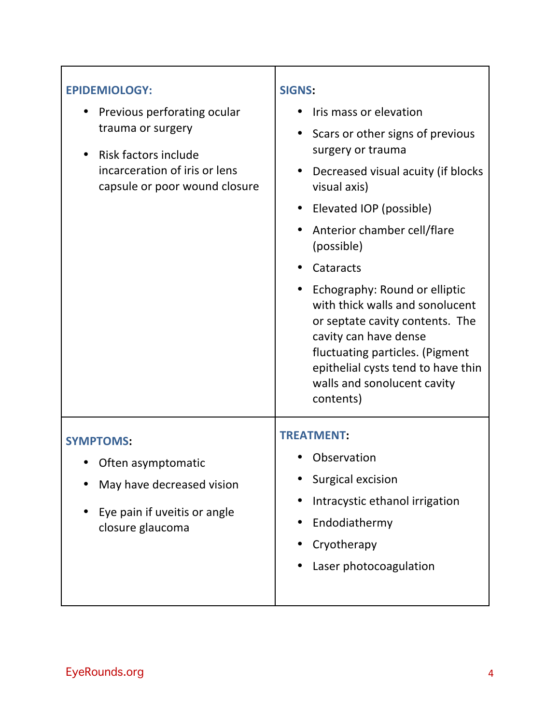| <b>EPIDEMIOLOGY:</b><br>Previous perforating ocular<br>trauma or surgery<br>Risk factors include<br>$\bullet$<br>incarceration of iris or lens<br>capsule or poor wound closure | <b>SIGNS:</b><br>Iris mass or elevation<br>Scars or other signs of previous<br>$\bullet$<br>surgery or trauma<br>Decreased visual acuity (if blocks<br>visual axis)<br>Elevated IOP (possible)<br>$\bullet$<br>Anterior chamber cell/flare<br>(possible)<br>Cataracts<br>Echography: Round or elliptic<br>with thick walls and sonolucent<br>or septate cavity contents. The<br>cavity can have dense<br>fluctuating particles. (Pigment<br>epithelial cysts tend to have thin<br>walls and sonolucent cavity |
|---------------------------------------------------------------------------------------------------------------------------------------------------------------------------------|---------------------------------------------------------------------------------------------------------------------------------------------------------------------------------------------------------------------------------------------------------------------------------------------------------------------------------------------------------------------------------------------------------------------------------------------------------------------------------------------------------------|
| <b>SYMPTOMS:</b><br>Often asymptomatic<br>May have decreased vision<br>Eye pain if uveitis or angle<br>$\bullet$<br>closure glaucoma                                            | contents)<br><b>TREATMENT:</b><br>Observation<br><b>Surgical excision</b><br>Intracystic ethanol irrigation<br>Endodiathermy<br>Cryotherapy<br>Laser photocoagulation                                                                                                                                                                                                                                                                                                                                         |